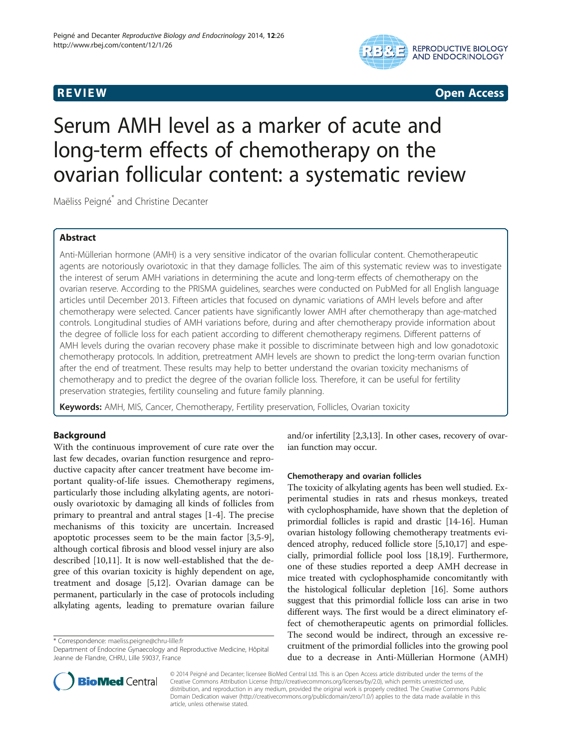



**REVIEW REVIEW CONSTRUCTER ACCESS** 

# Serum AMH level as a marker of acute and long-term effects of chemotherapy on the ovarian follicular content: a systematic review

Maëliss Peigné\* and Christine Decanter

# Abstract

Anti-Müllerian hormone (AMH) is a very sensitive indicator of the ovarian follicular content. Chemotherapeutic agents are notoriously ovariotoxic in that they damage follicles. The aim of this systematic review was to investigate the interest of serum AMH variations in determining the acute and long-term effects of chemotherapy on the ovarian reserve. According to the PRISMA guidelines, searches were conducted on PubMed for all English language articles until December 2013. Fifteen articles that focused on dynamic variations of AMH levels before and after chemotherapy were selected. Cancer patients have significantly lower AMH after chemotherapy than age-matched controls. Longitudinal studies of AMH variations before, during and after chemotherapy provide information about the degree of follicle loss for each patient according to different chemotherapy regimens. Different patterns of AMH levels during the ovarian recovery phase make it possible to discriminate between high and low gonadotoxic chemotherapy protocols. In addition, pretreatment AMH levels are shown to predict the long-term ovarian function after the end of treatment. These results may help to better understand the ovarian toxicity mechanisms of chemotherapy and to predict the degree of the ovarian follicle loss. Therefore, it can be useful for fertility preservation strategies, fertility counseling and future family planning.

Keywords: AMH, MIS, Cancer, Chemotherapy, Fertility preservation, Follicles, Ovarian toxicity

# Background

With the continuous improvement of cure rate over the last few decades, ovarian function resurgence and reproductive capacity after cancer treatment have become important quality-of-life issues. Chemotherapy regimens, particularly those including alkylating agents, are notoriously ovariotoxic by damaging all kinds of follicles from primary to preantral and antral stages [\[1](#page-7-0)-[4\]](#page-7-0). The precise mechanisms of this toxicity are uncertain. Increased apoptotic processes seem to be the main factor [[3,5-9](#page-7-0)], although cortical fibrosis and blood vessel injury are also described [\[10,11\]](#page-7-0). It is now well-established that the degree of this ovarian toxicity is highly dependent on age, treatment and dosage [[5,12\]](#page-7-0). Ovarian damage can be permanent, particularly in the case of protocols including alkylating agents, leading to premature ovarian failure

\* Correspondence: [maeliss.peigne@chru-lille.fr](mailto:maeliss.peigne@chru-lille.fr)

and/or infertility [\[2,3,13](#page-7-0)]. In other cases, recovery of ovarian function may occur.

# Chemotherapy and ovarian follicles

The toxicity of alkylating agents has been well studied. Experimental studies in rats and rhesus monkeys, treated with cyclophosphamide, have shown that the depletion of primordial follicles is rapid and drastic [[14](#page-7-0)-[16](#page-7-0)]. Human ovarian histology following chemotherapy treatments evidenced atrophy, reduced follicle store [\[5,10,17\]](#page-7-0) and especially, primordial follicle pool loss [\[18,](#page-7-0)[19\]](#page-8-0). Furthermore, one of these studies reported a deep AMH decrease in mice treated with cyclophosphamide concomitantly with the histological follicular depletion [\[16\]](#page-7-0). Some authors suggest that this primordial follicle loss can arise in two different ways. The first would be a direct eliminatory effect of chemotherapeutic agents on primordial follicles. The second would be indirect, through an excessive recruitment of the primordial follicles into the growing pool due to a decrease in Anti-Müllerian Hormone (AMH)



© 2014 Peigné and Decanter; licensee BioMed Central Ltd. This is an Open Access article distributed under the terms of the Creative Commons Attribution License (<http://creativecommons.org/licenses/by/2.0>), which permits unrestricted use, distribution, and reproduction in any medium, provided the original work is properly credited. The Creative Commons Public Domain Dedication waiver [\(http://creativecommons.org/publicdomain/zero/1.0/\)](http://creativecommons.org/publicdomain/zero/1.0/) applies to the data made available in this article, unless otherwise stated.

Department of Endocrine Gynaecology and Reproductive Medicine, Hôpital Jeanne de Flandre, CHRU, Lille 59037, France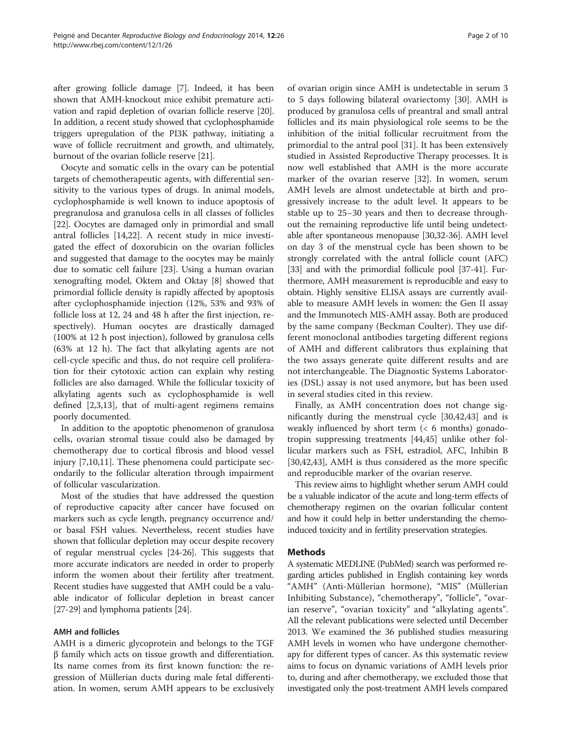after growing follicle damage [\[7](#page-7-0)]. Indeed, it has been shown that AMH-knockout mice exhibit premature activation and rapid depletion of ovarian follicle reserve [[20](#page-8-0)]. In addition, a recent study showed that cyclophosphamide triggers upregulation of the PI3K pathway, initiating a wave of follicle recruitment and growth, and ultimately, burnout of the ovarian follicle reserve [[21](#page-8-0)].

Oocyte and somatic cells in the ovary can be potential targets of chemotherapeutic agents, with differential sensitivity to the various types of drugs. In animal models, cyclophosphamide is well known to induce apoptosis of pregranulosa and granulosa cells in all classes of follicles [[22\]](#page-8-0). Oocytes are damaged only in primordial and small antral follicles [[14](#page-7-0),[22](#page-8-0)]. A recent study in mice investigated the effect of doxorubicin on the ovarian follicles and suggested that damage to the oocytes may be mainly due to somatic cell failure [\[23](#page-8-0)]. Using a human ovarian xenografting model, Oktem and Oktay [\[8](#page-7-0)] showed that primordial follicle density is rapidly affected by apoptosis after cyclophosphamide injection (12%, 53% and 93% of follicle loss at 12, 24 and 48 h after the first injection, respectively). Human oocytes are drastically damaged (100% at 12 h post injection), followed by granulosa cells (63% at 12 h). The fact that alkylating agents are not cell-cycle specific and thus, do not require cell proliferation for their cytotoxic action can explain why resting follicles are also damaged. While the follicular toxicity of alkylating agents such as cyclophosphamide is well defined [[2,3,13\]](#page-7-0), that of multi-agent regimens remains poorly documented.

In addition to the apoptotic phenomenon of granulosa cells, ovarian stromal tissue could also be damaged by chemotherapy due to cortical fibrosis and blood vessel injury [[7,10,11\]](#page-7-0). These phenomena could participate secondarily to the follicular alteration through impairment of follicular vascularization.

Most of the studies that have addressed the question of reproductive capacity after cancer have focused on markers such as cycle length, pregnancy occurrence and/ or basal FSH values. Nevertheless, recent studies have shown that follicular depletion may occur despite recovery of regular menstrual cycles [\[24-26](#page-8-0)]. This suggests that more accurate indicators are needed in order to properly inform the women about their fertility after treatment. Recent studies have suggested that AMH could be a valuable indicator of follicular depletion in breast cancer [[27](#page-8-0)-[29\]](#page-8-0) and lymphoma patients [\[24\]](#page-8-0).

# AMH and follicles

AMH is a dimeric glycoprotein and belongs to the TGF β family which acts on tissue growth and differentiation. Its name comes from its first known function: the regression of Müllerian ducts during male fetal differentiation. In women, serum AMH appears to be exclusively

of ovarian origin since AMH is undetectable in serum 3 to 5 days following bilateral ovariectomy [[30\]](#page-8-0). AMH is produced by granulosa cells of preantral and small antral follicles and its main physiological role seems to be the inhibition of the initial follicular recruitment from the primordial to the antral pool [\[31\]](#page-8-0). It has been extensively studied in Assisted Reproductive Therapy processes. It is now well established that AMH is the more accurate marker of the ovarian reserve [\[32](#page-8-0)]. In women, serum AMH levels are almost undetectable at birth and progressively increase to the adult level. It appears to be stable up to 25–30 years and then to decrease throughout the remaining reproductive life until being undetectable after spontaneous menopause [[30,32-36](#page-8-0)]. AMH level on day 3 of the menstrual cycle has been shown to be strongly correlated with the antral follicle count (AFC) [[33](#page-8-0)] and with the primordial follicule pool [\[37-41\]](#page-8-0). Furthermore, AMH measurement is reproducible and easy to obtain. Highly sensitive ELISA assays are currently available to measure AMH levels in women: the Gen II assay and the Immunotech MIS-AMH assay. Both are produced by the same company (Beckman Coulter). They use different monoclonal antibodies targeting different regions of AMH and different calibrators thus explaining that the two assays generate quite different results and are not interchangeable. The Diagnostic Systems Laboratories (DSL) assay is not used anymore, but has been used in several studies cited in this review.

Finally, as AMH concentration does not change significantly during the menstrual cycle [[30](#page-8-0),[42](#page-8-0),[43](#page-8-0)] and is weakly influenced by short term  $(< 6$  months) gonadotropin suppressing treatments [[44,45\]](#page-8-0) unlike other follicular markers such as FSH, estradiol, AFC, Inhibin B [[30,42,43\]](#page-8-0), AMH is thus considered as the more specific and reproducible marker of the ovarian reserve.

This review aims to highlight whether serum AMH could be a valuable indicator of the acute and long-term effects of chemotherapy regimen on the ovarian follicular content and how it could help in better understanding the chemoinduced toxicity and in fertility preservation strategies.

# Methods

A systematic MEDLINE (PubMed) search was performed regarding articles published in English containing key words "AMH" (Anti-Müllerian hormone), "MIS" (Müllerian Inhibiting Substance), "chemotherapy", "follicle", "ovarian reserve", "ovarian toxicity" and "alkylating agents". All the relevant publications were selected until December 2013. We examined the 36 published studies measuring AMH levels in women who have undergone chemotherapy for different types of cancer. As this systematic review aims to focus on dynamic variations of AMH levels prior to, during and after chemotherapy, we excluded those that investigated only the post-treatment AMH levels compared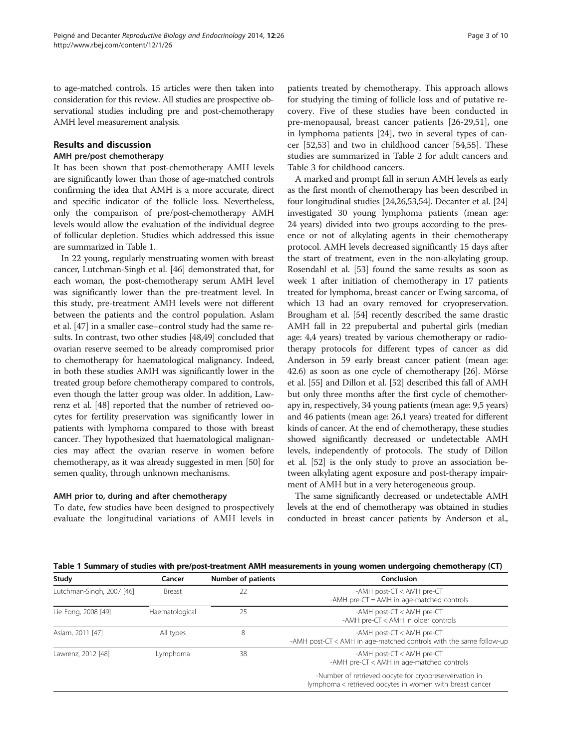to age-matched controls. 15 articles were then taken into consideration for this review. All studies are prospective observational studies including pre and post-chemotherapy AMH level measurement analysis.

## Results and discussion

## AMH pre/post chemotherapy

It has been shown that post-chemotherapy AMH levels are significantly lower than those of age-matched controls confirming the idea that AMH is a more accurate, direct and specific indicator of the follicle loss. Nevertheless, only the comparison of pre/post-chemotherapy AMH levels would allow the evaluation of the individual degree of follicular depletion. Studies which addressed this issue are summarized in Table 1.

In 22 young, regularly menstruating women with breast cancer, Lutchman-Singh et al. [[46](#page-8-0)] demonstrated that, for each woman, the post-chemotherapy serum AMH level was significantly lower than the pre-treatment level. In this study, pre-treatment AMH levels were not different between the patients and the control population. Aslam et al. [\[47\]](#page-8-0) in a smaller case–control study had the same results. In contrast, two other studies [[48,49\]](#page-8-0) concluded that ovarian reserve seemed to be already compromised prior to chemotherapy for haematological malignancy. Indeed, in both these studies AMH was significantly lower in the treated group before chemotherapy compared to controls, even though the latter group was older. In addition, Lawrenz et al. [[48](#page-8-0)] reported that the number of retrieved oocytes for fertility preservation was significantly lower in patients with lymphoma compared to those with breast cancer. They hypothesized that haematological malignancies may affect the ovarian reserve in women before chemotherapy, as it was already suggested in men [\[50](#page-8-0)] for semen quality, through unknown mechanisms.

## AMH prior to, during and after chemotherapy

To date, few studies have been designed to prospectively evaluate the longitudinal variations of AMH levels in

patients treated by chemotherapy. This approach allows for studying the timing of follicle loss and of putative recovery. Five of these studies have been conducted in pre-menopausal, breast cancer patients [\[26](#page-8-0)-[29,51\]](#page-8-0), one in lymphoma patients [[24\]](#page-8-0), two in several types of cancer [[52,53](#page-8-0)] and two in childhood cancer [\[54,55\]](#page-8-0). These studies are summarized in Table [2](#page-3-0) for adult cancers and Table [3](#page-5-0) for childhood cancers.

A marked and prompt fall in serum AMH levels as early as the first month of chemotherapy has been described in four longitudinal studies [[24,26,53,54](#page-8-0)]. Decanter et al. [[24](#page-8-0)] investigated 30 young lymphoma patients (mean age: 24 years) divided into two groups according to the presence or not of alkylating agents in their chemotherapy protocol. AMH levels decreased significantly 15 days after the start of treatment, even in the non-alkylating group. Rosendahl et al. [\[53\]](#page-8-0) found the same results as soon as week 1 after initiation of chemotherapy in 17 patients treated for lymphoma, breast cancer or Ewing sarcoma, of which 13 had an ovary removed for cryopreservation. Brougham et al. [\[54\]](#page-8-0) recently described the same drastic AMH fall in 22 prepubertal and pubertal girls (median age: 4,4 years) treated by various chemotherapy or radiotherapy protocols for different types of cancer as did Anderson in 59 early breast cancer patient (mean age: 42.6) as soon as one cycle of chemotherapy [\[26\]](#page-8-0). Mörse et al. [[55](#page-8-0)] and Dillon et al. [[52](#page-8-0)] described this fall of AMH but only three months after the first cycle of chemotherapy in, respectively, 34 young patients (mean age: 9,5 years) and 46 patients (mean age: 26,1 years) treated for different kinds of cancer. At the end of chemotherapy, these studies showed significantly decreased or undetectable AMH levels, independently of protocols. The study of Dillon et al. [[52](#page-8-0)] is the only study to prove an association between alkylating agent exposure and post-therapy impairment of AMH but in a very heterogeneous group.

The same significantly decreased or undetectable AMH levels at the end of chemotherapy was obtained in studies conducted in breast cancer patients by Anderson et al.,

Table 1 Summary of studies with pre/post-treatment AMH measurements in young women undergoing chemotherapy (CT)

| Study                     | Cancer         | Number of patients | Conclusion                                                                                                         |  |  |  |
|---------------------------|----------------|--------------------|--------------------------------------------------------------------------------------------------------------------|--|--|--|
| Lutchman-Singh, 2007 [46] | Breast         | 22                 | -AMH post-CT < AMH pre-CT<br>-AMH pre-CT = AMH in age-matched controls                                             |  |  |  |
| Lie Fong, 2008 [49]       | Haematological | 25                 | -AMH post-CT < AMH pre-CT<br>-AMH pre-CT < AMH in older controls                                                   |  |  |  |
| Aslam, 2011 [47]          | All types      | 8                  | -AMH post-CT < AMH pre-CT<br>-AMH post-CT < AMH in age-matched controls with the same follow-up                    |  |  |  |
| Lawrenz, 2012 [48]        | Lymphoma       | 38                 | -AMH post-CT < AMH pre-CT<br>-AMH pre-CT < AMH in age-matched controls                                             |  |  |  |
|                           |                |                    | -Number of retrieved oocyte for cryopreservervation in<br>lymphoma < retrieved oocytes in women with breast cancer |  |  |  |
|                           |                |                    |                                                                                                                    |  |  |  |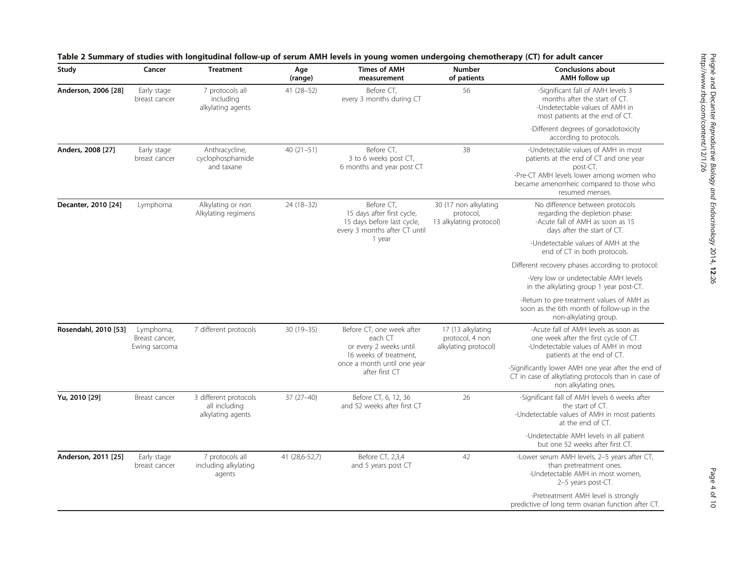| Study                | Cancer                                       | <b>Treatment</b>                                            | Age<br>(range) | <b>Times of AMH</b><br>measurement                                                                                                        | <b>Number</b><br>of patients                                  | Conclusions about<br>AMH follow up                                                                                                                                                                   |
|----------------------|----------------------------------------------|-------------------------------------------------------------|----------------|-------------------------------------------------------------------------------------------------------------------------------------------|---------------------------------------------------------------|------------------------------------------------------------------------------------------------------------------------------------------------------------------------------------------------------|
| Anderson, 2006 [28]  | Early stage<br>breast cancer                 | 7 protocols all<br>including<br>alkylating agents           | $41(28-52)$    | Before CT.<br>every 3 months during CT                                                                                                    | 56                                                            | -Significant fall of AMH levels 3<br>months after the start of CT.<br>-Undetectable values of AMH in<br>most patients at the end of CT.                                                              |
|                      |                                              |                                                             |                |                                                                                                                                           |                                                               | -Different degrees of gonadotoxicity<br>according to protocols.                                                                                                                                      |
| Anders, 2008 [27]    | Early stage<br>breast cancer                 | Anthracycline,<br>cyclophosphamide<br>and taxane            | $40(21-51)$    | Before CT,<br>3 to 6 weeks post CT,<br>6 months and year post CT                                                                          | 38                                                            | -Undetectable values of AMH in most<br>patients at the end of CT and one year<br>post-CT.<br>-Pre-CT AMH levels lower among women who<br>became amenorrheic compared to those who<br>resumed menses. |
| Decanter, 2010 [24]  | Lymphoma                                     | Alkylating or non<br>Alkylating regimens                    | 24 (18-32)     | Before CT,<br>15 days after first cycle,<br>15 days before last cycle,<br>every 3 months after CT until<br>1 year                         | 30 (17 non alkylating<br>protocol,<br>13 alkylating protocol) | No difference between protocols<br>regarding the depletion phase:<br>-Acute fall of AMH as soon as 15<br>days after the start of CT.                                                                 |
|                      |                                              |                                                             |                |                                                                                                                                           |                                                               | -Undetectable values of AMH at the<br>end of CT in both protocols.                                                                                                                                   |
|                      |                                              |                                                             |                |                                                                                                                                           |                                                               | Different recovery phases according to protocol:                                                                                                                                                     |
|                      |                                              |                                                             |                |                                                                                                                                           |                                                               | -Very low or undetectable AMH levels<br>in the alkylating group 1 year post-CT.                                                                                                                      |
|                      |                                              |                                                             |                |                                                                                                                                           |                                                               | -Return to pre-treatment values of AMH as<br>soon as the 6th month of follow-up in the<br>non-alkylating group.                                                                                      |
| Rosendahl, 2010 [53] | Lymphoma,<br>Breast cancer,<br>Ewing sarcoma | 7 different protocols                                       | $30(19 - 35)$  | Before CT, one week after<br>each CT<br>or every 2 weeks until<br>16 weeks of treatment,<br>once a month until one year<br>after first CT | 17 (13 alkylating<br>protocol, 4 non<br>alkylating protocol)  | -Acute fall of AMH levels as soon as<br>one week after the first cycle of CT.<br>-Undetectable values of AMH in most<br>patients at the end of CT.                                                   |
|                      |                                              |                                                             |                |                                                                                                                                           |                                                               | -Significantly lower AMH one year after the end of<br>CT in case of alkytlating protocols than in case of<br>non alkylating ones.                                                                    |
| Yu, 2010 [29]        | Breast cancer                                | 3 different protocols<br>all including<br>alkylating agents | $37(27-40)$    | Before CT, 6, 12, 36<br>and 52 weeks after first CT                                                                                       | 26                                                            | -Significant fall of AMH levels 6 weeks after<br>the start of CT.<br>-Undetectable values of AMH in most patients<br>at the end of CT.                                                               |
|                      |                                              |                                                             |                |                                                                                                                                           |                                                               | -Undetectable AMH levels in all patient<br>but one 52 weeks after first CT.                                                                                                                          |
| Anderson, 2011 [25]  | Early stage<br>breast cancer                 | 7 protocols all<br>including alkylating<br>agents           | 41 (28,6-52,7) | Before CT, 2,3,4<br>and 5 years post CT                                                                                                   | 42                                                            | -Lower serum AMH levels, 2-5 years after CT,<br>than pretreatment ones.<br>-Undetectable AMH in most women,<br>2-5 years post-CT.                                                                    |
|                      |                                              |                                                             |                |                                                                                                                                           |                                                               | -Pretreatment AMH level is strongly<br>predictive of long term ovarian function after CT.                                                                                                            |

# <span id="page-3-0"></span>Table 2 Summary of studies with longitudinal follow-up of serum AMH levels in young women undergoing chemotherapy (CT) for adult cancer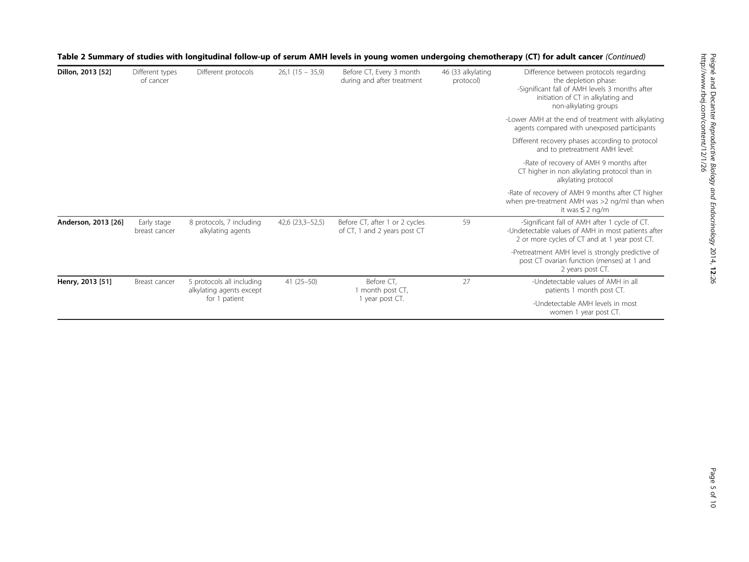| Dillon, 2013 [52]   | Different types<br>of cancer | Different protocols                                                    | $26,1(15 - 35,9)$ | Before CT, Every 3 month<br>during and after treatment         | 46 (33 alkylating<br>protocol) | Difference between protocols regarding<br>the depletion phase:<br>-Significant fall of AMH levels 3 months after<br>initiation of CT in alkylating and<br>non-alkylating groups |
|---------------------|------------------------------|------------------------------------------------------------------------|-------------------|----------------------------------------------------------------|--------------------------------|---------------------------------------------------------------------------------------------------------------------------------------------------------------------------------|
|                     |                              |                                                                        |                   |                                                                |                                | -Lower AMH at the end of treatment with alkylating<br>agents compared with unexposed participants                                                                               |
|                     |                              |                                                                        |                   |                                                                |                                | Different recovery phases according to protocol<br>and to pretreatment AMH level:                                                                                               |
|                     |                              |                                                                        |                   |                                                                |                                | -Rate of recovery of AMH 9 months after<br>CT higher in non alkylating protocol than in<br>alkylating protocol                                                                  |
|                     |                              |                                                                        |                   |                                                                |                                | -Rate of recovery of AMH 9 months after CT higher<br>when pre-treatment AMH was >2 ng/ml than when<br>it was $\leq$ 2 ng/m                                                      |
| Anderson, 2013 [26] | Early stage<br>breast cancer | 8 protocols, 7 including<br>alkylating agents                          | $42,6(23,3-52,5)$ | Before CT, after 1 or 2 cycles<br>of CT, 1 and 2 years post CT | 59                             | -Significant fall of AMH after 1 cycle of CT.<br>-Undetectable values of AMH in most patients after<br>2 or more cycles of CT and at 1 year post CT.                            |
|                     |                              |                                                                        |                   |                                                                |                                | -Pretreatment AMH level is strongly predictive of<br>post CT ovarian function (menses) at 1 and<br>2 years post CT.                                                             |
| Henry, 2013 [51]    | Breast cancer                | 5 protocols all including<br>alkylating agents except<br>for 1 patient | $41(25-50)$       | Before CT.<br>month post CT,<br>1 year post CT.                | 27                             | -Undetectable values of AMH in all<br>patients 1 month post CT.                                                                                                                 |
|                     |                              |                                                                        |                   |                                                                |                                | -Undetectable AMH levels in most<br>women 1 year post CT.                                                                                                                       |

# Table 2 Summary of studies with longitudinal follow-up of serum AMH levels in young women undergoing chemotherapy (CT) for adult cancer (Continued)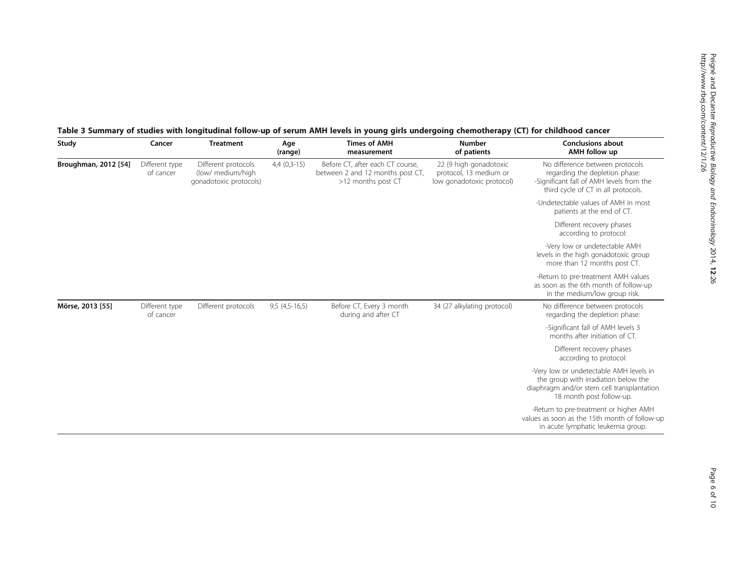| Study                | Cancer                      | <b>Treatment</b>                                                   | Age<br>(range)  | <b>Times of AMH</b><br>measurement                                                         | <b>Number</b><br>of patients                                                  | <b>Conclusions about</b><br>AMH follow up                                                                                                                 |
|----------------------|-----------------------------|--------------------------------------------------------------------|-----------------|--------------------------------------------------------------------------------------------|-------------------------------------------------------------------------------|-----------------------------------------------------------------------------------------------------------------------------------------------------------|
| Broughman, 2012 [54] | Different type<br>of cancer | Different protocols<br>(low/ medium/high<br>gonadotoxic protocols) | $4,4$ (0,3-15)  | Before CT, after each CT course,<br>between 2 and 12 months post CT,<br>>12 months post CT | 22 (9 high gonadotoxic<br>protocol, 13 medium or<br>low gonadotoxic protocol) | No difference between protocols<br>regarding the depletion phase:<br>-Significant fall of AMH levels from the<br>third cycle of CT in all protocols.      |
|                      |                             |                                                                    |                 |                                                                                            |                                                                               | -Undetectable values of AMH in most<br>patients at the end of CT.                                                                                         |
|                      |                             |                                                                    |                 |                                                                                            |                                                                               | Different recovery phases<br>according to protocol:                                                                                                       |
|                      |                             |                                                                    |                 |                                                                                            |                                                                               | -Very low or undetectable AMH<br>levels in the high gonadotoxic group<br>more than 12 months post CT.                                                     |
|                      |                             |                                                                    |                 |                                                                                            |                                                                               | -Return to pre-treatment AMH values<br>as soon as the 6th month of follow-up<br>in the medium/low group risk.                                             |
| Mörse, 2013 [55]     | Different type<br>of cancer | Different protocols                                                | $9,5(4,5-16,5)$ | Before CT, Every 3 month<br>during and after CT                                            | 34 (27 alkylating protocol)                                                   | No difference between protocols<br>regarding the depletion phase:                                                                                         |
|                      |                             |                                                                    |                 |                                                                                            |                                                                               | -Significant fall of AMH levels 3<br>months after initiation of CT.                                                                                       |
|                      |                             |                                                                    |                 |                                                                                            |                                                                               | Different recovery phases<br>according to protocol:                                                                                                       |
|                      |                             |                                                                    |                 |                                                                                            |                                                                               | -Very low or undetectable AMH levels in<br>the group with irradiation below the<br>diaphragm and/or stem cell transplantation<br>18 month post follow-up. |
|                      |                             |                                                                    |                 |                                                                                            |                                                                               | -Return to pre-treatment or higher AMH<br>values as soon as the 15th month of follow-up                                                                   |

# <span id="page-5-0"></span>Table 3 Summary of studies with longitudinal follow-up of serum AMH levels in young girls undergoing chemotherapy (CT) for childhood cancer

in acute lymphatic leukemia group.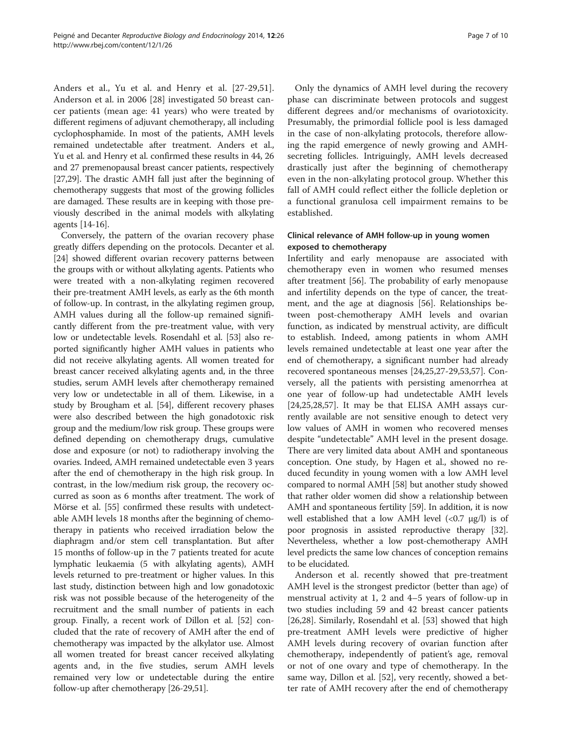Anders et al., Yu et al. and Henry et al. [\[27](#page-8-0)-[29,51](#page-8-0)]. Anderson et al. in 2006 [[28\]](#page-8-0) investigated 50 breast cancer patients (mean age: 41 years) who were treated by different regimens of adjuvant chemotherapy, all including cyclophosphamide. In most of the patients, AMH levels remained undetectable after treatment. Anders et al., Yu et al. and Henry et al. confirmed these results in 44, 26 and 27 premenopausal breast cancer patients, respectively [[27,29](#page-8-0)]. The drastic AMH fall just after the beginning of chemotherapy suggests that most of the growing follicles are damaged. These results are in keeping with those previously described in the animal models with alkylating agents [[14-16\]](#page-7-0).

Conversely, the pattern of the ovarian recovery phase greatly differs depending on the protocols. Decanter et al. [[24](#page-8-0)] showed different ovarian recovery patterns between the groups with or without alkylating agents. Patients who were treated with a non-alkylating regimen recovered their pre-treatment AMH levels, as early as the 6th month of follow-up. In contrast, in the alkylating regimen group, AMH values during all the follow-up remained significantly different from the pre-treatment value, with very low or undetectable levels. Rosendahl et al. [[53\]](#page-8-0) also reported significantly higher AMH values in patients who did not receive alkylating agents. All women treated for breast cancer received alkylating agents and, in the three studies, serum AMH levels after chemotherapy remained very low or undetectable in all of them. Likewise, in a study by Brougham et al. [\[54\]](#page-8-0), different recovery phases were also described between the high gonadotoxic risk group and the medium/low risk group. These groups were defined depending on chemotherapy drugs, cumulative dose and exposure (or not) to radiotherapy involving the ovaries. Indeed, AMH remained undetectable even 3 years after the end of chemotherapy in the high risk group. In contrast, in the low/medium risk group, the recovery occurred as soon as 6 months after treatment. The work of Mörse et al. [[55](#page-8-0)] confirmed these results with undetectable AMH levels 18 months after the beginning of chemotherapy in patients who received irradiation below the diaphragm and/or stem cell transplantation. But after 15 months of follow-up in the 7 patients treated for acute lymphatic leukaemia (5 with alkylating agents), AMH levels returned to pre-treatment or higher values. In this last study, distinction between high and low gonadotoxic risk was not possible because of the heterogeneity of the recruitment and the small number of patients in each group. Finally, a recent work of Dillon et al. [[52](#page-8-0)] concluded that the rate of recovery of AMH after the end of chemotherapy was impacted by the alkylator use. Almost all women treated for breast cancer received alkylating agents and, in the five studies, serum AMH levels remained very low or undetectable during the entire follow-up after chemotherapy [\[26-29,51](#page-8-0)].

Only the dynamics of AMH level during the recovery phase can discriminate between protocols and suggest different degrees and/or mechanisms of ovariotoxicity. Presumably, the primordial follicle pool is less damaged in the case of non-alkylating protocols, therefore allowing the rapid emergence of newly growing and AMHsecreting follicles. Intriguingly, AMH levels decreased drastically just after the beginning of chemotherapy even in the non-alkylating protocol group. Whether this fall of AMH could reflect either the follicle depletion or a functional granulosa cell impairment remains to be established.

## Clinical relevance of AMH follow-up in young women exposed to chemotherapy

Infertility and early menopause are associated with chemotherapy even in women who resumed menses after treatment [\[56\]](#page-8-0). The probability of early menopause and infertility depends on the type of cancer, the treatment, and the age at diagnosis [[56](#page-8-0)]. Relationships between post-chemotherapy AMH levels and ovarian function, as indicated by menstrual activity, are difficult to establish. Indeed, among patients in whom AMH levels remained undetectable at least one year after the end of chemotherapy, a significant number had already recovered spontaneous menses [\[24,25,27](#page-8-0)-[29](#page-8-0),[53](#page-8-0),[57](#page-8-0)]. Conversely, all the patients with persisting amenorrhea at one year of follow-up had undetectable AMH levels [[24,25,28,57\]](#page-8-0). It may be that ELISA AMH assays currently available are not sensitive enough to detect very low values of AMH in women who recovered menses despite "undetectable" AMH level in the present dosage. There are very limited data about AMH and spontaneous conception. One study, by Hagen et al., showed no reduced fecundity in young women with a low AMH level compared to normal AMH [\[58\]](#page-8-0) but another study showed that rather older women did show a relationship between AMH and spontaneous fertility [[59](#page-9-0)]. In addition, it is now well established that a low AMH level  $( $0.7 \mu g/l$ )$  is of poor prognosis in assisted reproductive therapy [[32](#page-8-0)]. Nevertheless, whether a low post-chemotherapy AMH level predicts the same low chances of conception remains to be elucidated.

Anderson et al. recently showed that pre-treatment AMH level is the strongest predictor (better than age) of menstrual activity at 1, 2 and 4–5 years of follow-up in two studies including 59 and 42 breast cancer patients [[26,28\]](#page-8-0). Similarly, Rosendahl et al. [\[53](#page-8-0)] showed that high pre-treatment AMH levels were predictive of higher AMH levels during recovery of ovarian function after chemotherapy, independently of patient's age, removal or not of one ovary and type of chemotherapy. In the same way, Dillon et al. [[52](#page-8-0)], very recently, showed a better rate of AMH recovery after the end of chemotherapy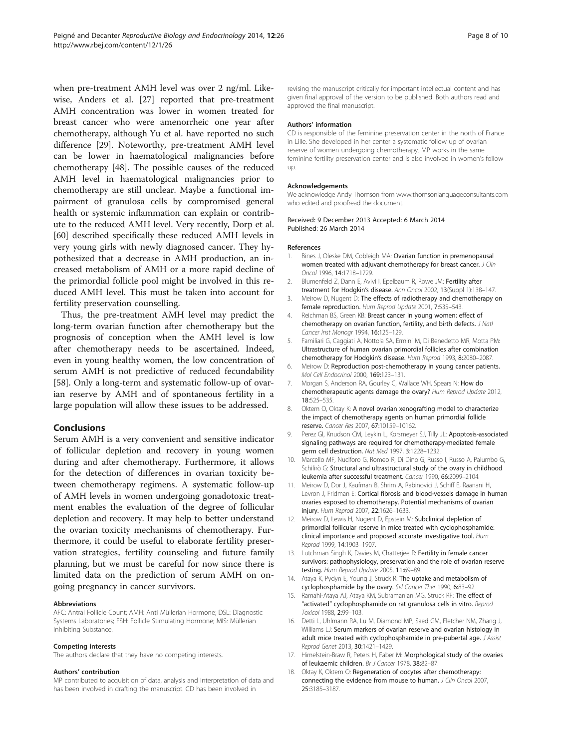<span id="page-7-0"></span>when pre-treatment AMH level was over 2 ng/ml. Likewise, Anders et al. [[27\]](#page-8-0) reported that pre-treatment AMH concentration was lower in women treated for breast cancer who were amenorrheic one year after chemotherapy, although Yu et al. have reported no such difference [\[29\]](#page-8-0). Noteworthy, pre-treatment AMH level can be lower in haematological malignancies before chemotherapy [[48\]](#page-8-0). The possible causes of the reduced AMH level in haematological malignancies prior to chemotherapy are still unclear. Maybe a functional impairment of granulosa cells by compromised general health or systemic inflammation can explain or contribute to the reduced AMH level. Very recently, Dorp et al. [[60\]](#page-9-0) described specifically these reduced AMH levels in very young girls with newly diagnosed cancer. They hypothesized that a decrease in AMH production, an increased metabolism of AMH or a more rapid decline of the primordial follicle pool might be involved in this reduced AMH level. This must be taken into account for fertility preservation counselling.

Thus, the pre-treatment AMH level may predict the long-term ovarian function after chemotherapy but the prognosis of conception when the AMH level is low after chemotherapy needs to be ascertained. Indeed, even in young healthy women, the low concentration of serum AMH is not predictive of reduced fecundability [[58\]](#page-8-0). Only a long-term and systematic follow-up of ovarian reserve by AMH and of spontaneous fertility in a large population will allow these issues to be addressed.

# Conclusions

Serum AMH is a very convenient and sensitive indicator of follicular depletion and recovery in young women during and after chemotherapy. Furthermore, it allows for the detection of differences in ovarian toxicity between chemotherapy regimens. A systematic follow-up of AMH levels in women undergoing gonadotoxic treatment enables the evaluation of the degree of follicular depletion and recovery. It may help to better understand the ovarian toxicity mechanisms of chemotherapy. Furthermore, it could be useful to elaborate fertility preservation strategies, fertility counseling and future family planning, but we must be careful for now since there is limited data on the prediction of serum AMH on ongoing pregnancy in cancer survivors.

#### Abbreviations

AFC: Antral Follicle Count; AMH: Anti Müllerian Hormone; DSL: Diagnostic Systems Laboratories; FSH: Follicle Stimulating Hormone; MIS: Müllerian Inhibiting Substance.

## Competing interests

The authors declare that they have no competing interests.

#### Authors' contribution

MP contributed to acquisition of data, analysis and interpretation of data and has been involved in drafting the manuscript. CD has been involved in

revising the manuscript critically for important intellectual content and has given final approval of the version to be published. Both authors read and approved the final manuscript.

#### Authors' information

CD is responsible of the feminine preservation center in the north of France in Lille. She developed in her center a systematic follow up of ovarian reserve of women undergoing chemotherapy. MP works in the same feminine fertility preservation center and is also involved in women's follow up.

#### Acknowledgements

We acknowledge Andy Thomson from [www.thomsonlanguageconsultants.com](http://www.thomsonlanguageconsultants.com) who edited and proofread the document.

## Received: 9 December 2013 Accepted: 6 March 2014 Published: 26 March 2014

#### References

- 1. Bines J, Oleske DM, Cobleigh MA: Ovarian function in premenopausal women treated with adjuvant chemotherapy for breast cancer. J Clin Oncol 1996, 14:1718–1729.
- 2. Blumenfeld Z, Dann E, Avivi I, Epelbaum R, Rowe JM: Fertility after treatment for Hodgkin's disease. Ann Oncol 2002, 13(Suppl 1):138–147.
- 3. Meirow D, Nugent D: The effects of radiotherapy and chemotherapy on female reproduction. Hum Reprod Update 2001, 7:535–543.
- 4. Reichman BS, Green KB: Breast cancer in young women: effect of chemotherapy on ovarian function, fertility, and birth defects. J Natl Cancer Inst Monogr 1994, 16:125–129.
- 5. Familiari G, Caggiati A, Nottola SA, Ermini M, Di Benedetto MR, Motta PM: Ultrastructure of human ovarian primordial follicles after combination chemotherapy for Hodgkin's disease. Hum Reprod 1993, 8:2080–2087.
- 6. Meirow D: Reproduction post-chemotherapy in young cancer patients. Mol Cell Endocrinol 2000, 169:123–131.
- 7. Morgan S, Anderson RA, Gourley C, Wallace WH, Spears N: How do chemotherapeutic agents damage the ovary? Hum Reprod Update 2012, 18:525–535.
- 8. Oktem O, Oktay K: A novel ovarian xenografting model to characterize the impact of chemotherapy agents on human primordial follicle reserve. Cancer Res 2007, 67:10159–10162.
- 9. Perez GI, Knudson CM, Leykin L, Korsmeyer SJ, Tilly JL: Apoptosis-associated signaling pathways are required for chemotherapy-mediated female germ cell destruction. Nat Med 1997, 3:1228–1232.
- 10. Marcello MF, Nuciforo G, Romeo R, Di Dino G, Russo I, Russo A, Palumbo G, Schilirò G: Structural and ultrastructural study of the ovary in childhood leukemia after successful treatment. Cancer 1990, 66:2099–2104.
- 11. Meirow D, Dor J, Kaufman B, Shrim A, Rabinovici J, Schiff E, Raanani H, Levron J, Fridman E: Cortical fibrosis and blood-vessels damage in human ovaries exposed to chemotherapy. Potential mechanisms of ovarian injury. Hum Reprod 2007, 22:1626–1633.
- 12. Meirow D, Lewis H, Nugent D, Epstein M: Subclinical depletion of primordial follicular reserve in mice treated with cyclophosphamide: clinical importance and proposed accurate investigative tool. Hum Reprod 1999, 14:1903–1907.
- 13. Lutchman Singh K, Davies M, Chatterjee R: Fertility in female cancer survivors: pathophysiology, preservation and the role of ovarian reserve testing. Hum Reprod Update 2005, 11:69–89.
- 14. Ataya K, Pydyn E, Young J, Struck R: The uptake and metabolism of cyclophosphamide by the ovary. Sel Cancer Ther 1990, 6:83–92.
- 15. Ramahi-Ataya AJ, Ataya KM, Subramanian MG, Struck RF: The effect of "activated" cyclophosphamide on rat granulosa cells in vitro. Reprod Toxicol 1988, 2:99–103.
- 16. Detti L, Uhlmann RA, Lu M, Diamond MP, Saed GM, Fletcher NM, Zhang J, Williams  $\Box$ : Serum markers of ovarian reserve and ovarian histology in adult mice treated with cyclophosphamide in pre-pubertal age. J Assist Reprod Genet 2013, 30:1421–1429.
- 17. Himelstein-Braw R, Peters H, Faber M: Morphological study of the ovaries of leukaemic children. Br J Cancer 1978, 38:82–87.
- 18. Oktay K, Oktem O: Regeneration of oocytes after chemotherapy: connecting the evidence from mouse to human. J Clin Oncol 2007, 25:3185–3187.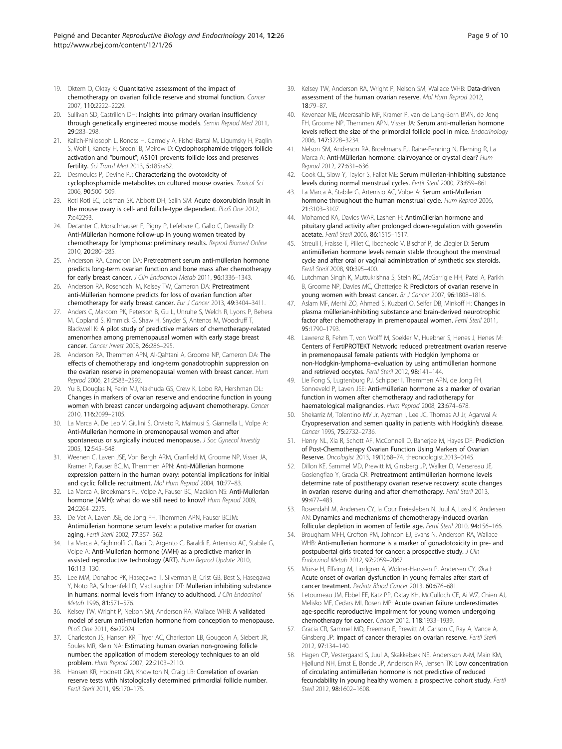- <span id="page-8-0"></span>19. Oktem O, Oktay K: Quantitative assessment of the impact of chemotherapy on ovarian follicle reserve and stromal function. Cancer 2007, 110:2222–2229.
- 20. Sullivan SD, Castrillon DH: Insights into primary ovarian insufficiency through genetically engineered mouse models. Semin Reprod Med 2011, 29:283–298.
- 21. Kalich-Philosoph L, Roness H, Carmely A, Fishel-Bartal M, Ligumsky H, Paglin S, Wolf I, Kanety H, Sredni B, Meirow D: Cyclophosphamide triggers follicle activation and "burnout"; AS101 prevents follicle loss and preserves fertility. Sci Transl Med 2013, 5:185ra62.
- 22. Desmeules P, Devine PJ: Characterizing the ovotoxicity of cyclophosphamide metabolites on cultured mouse ovaries. Toxicol Sci 2006, 90:500–509.
- 23. Roti Roti EC, Leisman SK, Abbott DH, Salih SM: Acute doxorubicin insult in the mouse ovary is cell- and follicle-type dependent. PLoS One 2012, 7:e42293.
- 24. Decanter C, Morschhauser F, Pigny P, Lefebvre C, Gallo C, Dewailly D: Anti-Müllerian hormone follow-up in young women treated by chemotherapy for lymphoma: preliminary results. Reprod Biomed Online 2010, 20:280–285.
- 25. Anderson RA, Cameron DA: Pretreatment serum anti-müllerian hormone predicts long-term ovarian function and bone mass after chemotherapy for early breast cancer. J Clin Endocrinol Metab 2011, 96:1336-1343.
- 26. Anderson RA, Rosendahl M, Kelsey TW, Cameron DA: Pretreatment anti-Müllerian hormone predicts for loss of ovarian function after chemotherapy for early breast cancer. Eur J Cancer 2013, 49:3404-3411.
- 27. Anders C, Marcom PK, Peterson B, Gu L, Unruhe S, Welch R, Lyons P, Behera M, Copland S, Kimmick G, Shaw H, Snyder S, Antenos M, Woodruff T, Blackwell K: A pilot study of predictive markers of chemotherapy-related amenorrhea among premenopausal women with early stage breast cancer. Cancer Invest 2008, 26:286–295.
- 28. Anderson RA, Themmen APN, Al-Qahtani A, Groome NP, Cameron DA: The effects of chemotherapy and long-term gonadotrophin suppression on the ovarian reserve in premenopausal women with breast cancer. Hum Reprod 2006, 21:2583–2592.
- 29. Yu B, Douglas N, Ferin MJ, Nakhuda GS, Crew K, Lobo RA, Hershman DL: Changes in markers of ovarian reserve and endocrine function in young women with breast cancer undergoing adjuvant chemotherapy. Cancer 2010, 116:2099–2105.
- 30. La Marca A, De Leo V, Giulini S, Orvieto R, Malmusi S, Giannella L, Volpe A: Anti-Mullerian hormone in premenopausal women and after spontaneous or surgically induced menopause. J Soc Gynecol Investig 2005, 12:545–548.
- 31. Weenen C, Laven JSE, Von Bergh ARM, Cranfield M, Groome NP, Visser JA, Kramer P, Fauser BCJM, Themmen APN: Anti-Müllerian hormone expression pattern in the human ovary: potential implications for initial and cyclic follicle recruitment. Mol Hum Reprod 2004, 10:77–83.
- 32. La Marca A, Broekmans FJ, Volpe A, Fauser BC, Macklon NS: Anti-Mullerian hormone (AMH): what do we still need to know? Hum Reprod 2009, 24:2264–2275.
- 33. De Vet A, Laven JSE, de Jong FH, Themmen APN, Fauser BCJM: Antimüllerian hormone serum levels: a putative marker for ovarian aging. Fertil Steril 2002, 77:357–362.
- 34. La Marca A, Sighinolfi G, Radi D, Argento C, Baraldi E, Artenisio AC, Stabile G, Volpe A: Anti-Mullerian hormone (AMH) as a predictive marker in assisted reproductive technology (ART). Hum Reprod Update 2010, 16:113–130.
- 35. Lee MM, Donahoe PK, Hasegawa T, Silverman B, Crist GB, Best S, Hasegawa Y, Noto RA, Schoenfeld D, MacLaughlin DT: Mullerian inhibiting substance in humans: normal levels from infancy to adulthood. J Clin Endocrinol Metab 1996, 81:571–576.
- 36. Kelsey TW, Wright P, Nelson SM, Anderson RA, Wallace WHB: A validated model of serum anti-müllerian hormone from conception to menopause. PLoS One 2011, 6:e22024.
- 37. Charleston JS, Hansen KR, Thyer AC, Charleston LB, Gougeon A, Siebert JR, Soules MR, Klein NA: Estimating human ovarian non-growing follicle number: the application of modern stereology techniques to an old problem. Hum Reprod 2007, 22:2103–2110.
- 38. Hansen KR, Hodnett GM, Knowlton N, Craig LB: Correlation of ovarian reserve tests with histologically determined primordial follicle number. Fertil Steril 2011, 95:170–175.
- 39. Kelsey TW, Anderson RA, Wright P, Nelson SM, Wallace WHB: Data-driven assessment of the human ovarian reserve. Mol Hum Reprod 2012, 18:79–87.
- 40. Kevenaar ME, Meerasahib MF, Kramer P, van de Lang-Born BMN, de Jong FH, Groome NP, Themmen APN, Visser JA: Serum anti-mullerian hormone levels reflect the size of the primordial follicle pool in mice. Endocrinology 2006, 147:3228–3234.
- 41. Nelson SM, Anderson RA, Broekmans FJ, Raine-Fenning N, Fleming R, La Marca A: Anti-Müllerian hormone: clairvoyance or crystal clear? Hum Reprod 2012, 27:631–636.
- 42. Cook CL, Siow Y, Taylor S, Fallat ME: Serum müllerian-inhibiting substance levels during normal menstrual cycles. Fertil Steril 2000, 73:859–861.
- 43. La Marca A, Stabile G, Artenisio AC, Volpe A: Serum anti-Mullerian hormone throughout the human menstrual cycle. Hum Reprod 2006, 21:3103–3107.
- 44. Mohamed KA, Davies WAR, Lashen H: Antimüllerian hormone and pituitary gland activity after prolonged down-regulation with goserelin acetate. Fertil Steril 2006, 86:1515–1517.
- 45. Streuli I, Fraisse T, Pillet C, Ibecheole V, Bischof P, de Ziegler D: Serum antimüllerian hormone levels remain stable throughout the menstrual cycle and after oral or vaginal administration of synthetic sex steroids. Fertil Steril 2008, 90:395-400.
- 46. Lutchman Singh K, Muttukrishna S, Stein RC, McGarrigle HH, Patel A, Parikh B, Groome NP, Davies MC, Chatterjee R: Predictors of ovarian reserve in young women with breast cancer. Br J Cancer 2007, 96:1808–1816.
- 47. Aslam MF, Merhi ZO, Ahmed S, Kuzbari O, Seifer DB, Minkoff H: Changes in plasma müllerian-inhibiting substance and brain-derived neurotrophic factor after chemotherapy in premenopausal women. Fertil Steril 2011, 95:1790–1793.
- 48. Lawrenz B, Fehm T, von Wolff M, Soekler M, Huebner S, Henes J, Henes M: Centers of FertiPROTEKT Network: reduced pretreatment ovarian reserve in premenopausal female patients with Hodgkin lymphoma or non-Hodgkin-lymphoma–evaluation by using antimüllerian hormone and retrieved oocytes. Fertil Steril 2012, 98:141-144.
- 49. Lie Fong S, Lugtenburg PJ, Schipper I, Themmen APN, de Jong FH, Sonneveld P, Laven JSE: Anti-müllerian hormone as a marker of ovarian function in women after chemotherapy and radiotherapy for haematological malignancies. Hum Reprod 2008, 23:674–678.
- 50. Shekarriz M, Tolentino MV Jr, Ayzman I, Lee JC, Thomas AJ Jr, Agarwal A: Cryopreservation and semen quality in patients with Hodgkin's disease. Cancer 1995, 75:2732–2736.
- 51. Henry NL, Xia R, Schott AF, McConnell D, Baneriee M, Hayes DF: Prediction of Post-Chemotherapy Ovarian Function Using Markers of Ovarian Reserve. Oncologist 2013, 19(1):68–74. theoncologist.2013–0145.
- 52. Dillon KE, Sammel MD, Prewitt M, Ginsberg JP, Walker D, Mersereau JE, Gosiengfiao Y, Gracia CR: Pretreatment antimüllerian hormone levels determine rate of posttherapy ovarian reserve recovery: acute changes in ovarian reserve during and after chemotherapy. Fertil Steril 2013, 99:477–483.
- 53. Rosendahl M, Andersen CY, la Cour Freiesleben N, Juul A, Løssl K, Andersen AN: Dynamics and mechanisms of chemotherapy-induced ovarian follicular depletion in women of fertile age. Fertil Steril 2010, 94:156–166.
- 54. Brougham MFH, Crofton PM, Johnson EJ, Evans N, Anderson RA, Wallace WHB: Anti-mullerian hormone is a marker of gonadotoxicity in pre- and postpubertal girls treated for cancer: a prospective study. J Clin Endocrinol Metab 2012, 97:2059–2067.
- 55. Mörse H, Elfving M, Lindgren A, Wölner-Hanssen P, Andersen CY, Øra I: Acute onset of ovarian dysfunction in young females after start of cancer treatment. Pediatr Blood Cancer 2013, 60:676–681.
- 56. Letourneau JM, Ebbel EE, Katz PP, Oktay KH, McCulloch CE, Ai WZ, Chien AJ, Melisko ME, Cedars MI, Rosen MP: Acute ovarian failure underestimates age-specific reproductive impairment for young women undergoing chemotherapy for cancer. Cancer 2012, 118:1933–1939.
- 57. Gracia CR, Sammel MD, Freeman E, Prewitt M, Carlson C, Ray A, Vance A, Ginsberg JP: Impact of cancer therapies on ovarian reserve. Fertil Steril 2012, 97:134–140.
- 58. Hagen CP, Vestergaard S, Juul A, Skakkebæk NE, Andersson A-M, Main KM, Hjøllund NH, Ernst E, Bonde JP, Anderson RA, Jensen TK: Low concentration of circulating antimüllerian hormone is not predictive of reduced fecundability in young healthy women: a prospective cohort study. Fertil Steril 2012, 98:1602–1608.